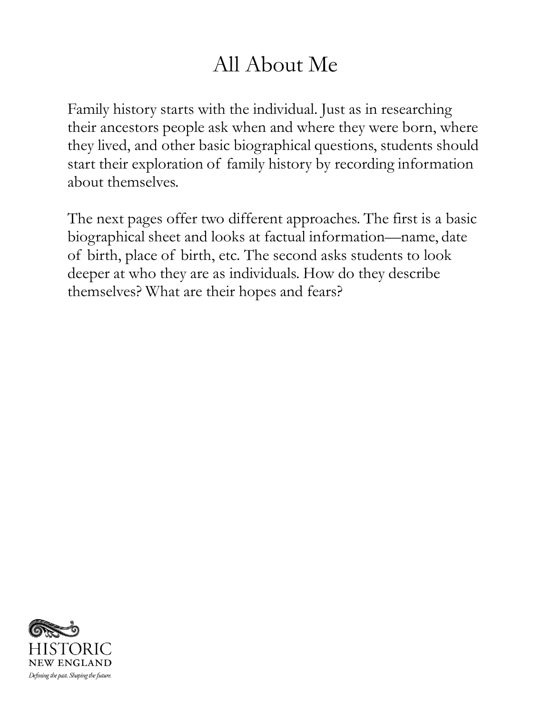## All About Me

Family history starts with the individual. Just as in researching their ancestors people ask when and where they were born, where they lived, and other basic biographical questions, students should start their exploration of family history by recording information about themselves.

The next pages offer two different approaches. The first is a basic biographical sheet and looks at factual information—name, date of birth, place of birth, etc. The second asks students to look deeper at who they are as individuals. How do they describe themselves? What are their hopes and fears?

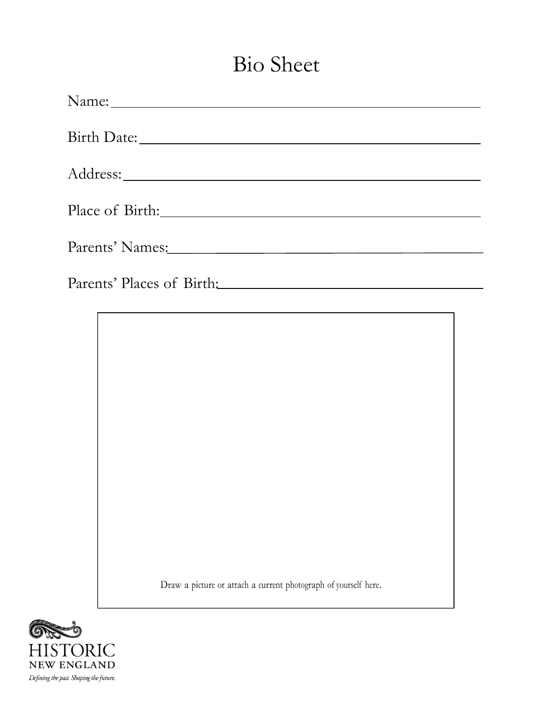## Bio Sheet

| Birth Date:                          |
|--------------------------------------|
|                                      |
|                                      |
|                                      |
| Parents' Places of Birth: March 2014 |
|                                      |

Draw a picture or attach a current photograph of yourself here.